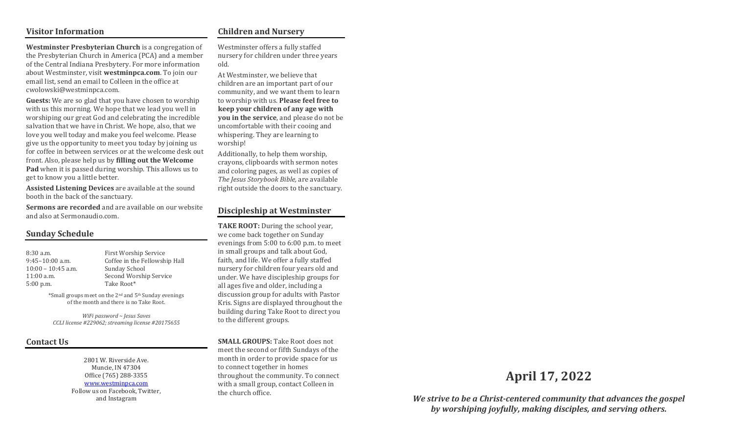## Visitor Information

### Children and Nursery

Westminster Presbyterian Church is a congregation of the Presbyterian Church in America (PCA) and a member of the Central Indiana Presbytery. For more information about Westminster, visit westminpca.com. To join our email list, send an email to Colleen in the office at cwolowski@westminpca.com.

Guests: We are so glad that you have chosen to worship with us this morning. We hope that we lead you well in worshiping our great God and celebrating the incredible salvation that we have in Christ. We hope, also, that we love you well today and make you feel welcome. Please give us the opportunity to meet you today by joining us for coffee in between services or at the welcome desk out front. Also, please help us by filling out the Welcome Pad when it is passed during worship. This allows us to get to know you a little better.

Assisted Listening Devices are available at the sound booth in the back of the sanctuary.

Sermons are recorded and are available on our website and also at Sermonaudio.com.

## Sunday Schedule

10:00 – 10:45 a.m. Sunday School 5:00 p.m. Take Root\*

8:30 a.m. First Worship Service 9:45–10:00 a.m. Coffee in the Fellowship Hall 11:00 a.m. Second Worship Service

> \*Small groups meet on the 2nd and 5th Sunday evenings of the month and there is no Take Root.

WiFi password ~ Jesus Saves CCLI license #229062; streaming license #20175655

## Contact Us

2801 W. Riverside Ave. Muncie, IN 47304 Office (765) 288-3355 www.westminpca.com Follow us on Facebook, Twitter, and Instagram

Westminster offers a fully staffed nursery for children under three years old.

At Westminster, we believe that children are an important part of our community, and we want them to learn to worship with us. Please feel free to keep your children of any age with you in the service, and please do not be uncomfortable with their cooing and whispering. They are learning to worship!

Additionally, to help them worship, crayons, clipboards with sermon notes and coloring pages, as well as copies of The Jesus Storybook Bible, are available right outside the doors to the sanctuary.

## Discipleship at Westminster

TAKE ROOT: During the school year, we come back together on Sunday evenings from 5:00 to 6:00 p.m. to meet in small groups and talk about God, faith, and life. We offer a fully staffed nursery for children four years old and under. We have discipleship groups for all ages five and older, including a discussion group for adults with Pastor Kris. Signs are displayed throughout the building during Take Root to direct you to the different groups.

SMALL GROUPS: Take Root does not meet the second or fifth Sundays of the month in order to provide space for us to connect together in homes throughout the community. To connect with a small group, contact Colleen in the church office.

# April 17, 2022

We strive to be a Christ-centered community that advances the gospel by worshiping joyfully, making disciples, and serving others.